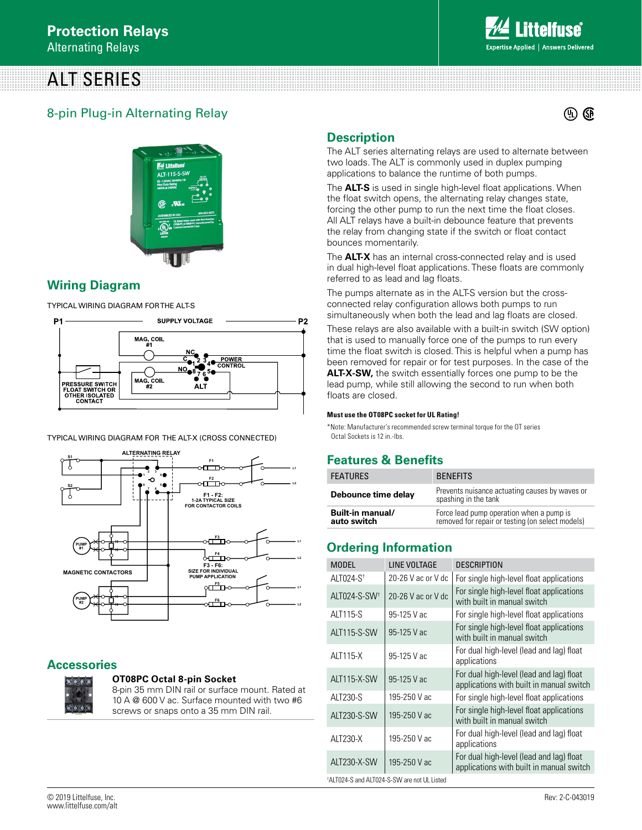# ALT SERIES



### 8-pin Plug-in Alternating Relay



### **Wiring Diagram**

TYPICAL WIRING DIAGRAM FOR THE ALT-S



TYPICAL WIRING DIAGRAM FOR THE ALT-X (CROSS CONNECTED)



### **Accessories**



#### **OT08PC Octal 8-pin Socket**

8-pin 35 mm DIN rail or surface mount. Rated at 10 A @ 600 V ac. Surface mounted with two #6 screws or snaps onto a 35 mm DIN rail.

### **Description**

The ALT series alternating relays are used to alternate between two loads. The ALT is commonly used in duplex pumping applications to balance the runtime of both pumps.

The **ALT-S** is used in single high-level float applications. When the float switch opens, the alternating relay changes state, forcing the other pump to run the next time the float closes. All ALT relays have a built-in debounce feature that prevents the relay from changing state if the switch or float contact bounces momentarily.

The **ALT-X** has an internal cross-connected relay and is used in dual high-level float applications. These floats are commonly referred to as lead and lag floats.

The pumps alternate as in the ALT-S version but the crossconnected relay configuration allows both pumps to run simultaneously when both the lead and lag floats are closed.

These relays are also available with a built-in switch (SW option) that is used to manually force one of the pumps to run every time the float switch is closed. This is helpful when a pump has been removed for repair or for test purposes. In the case of the **ALT-X-SW,** the switch essentially forces one pump to be the lead pump, while still allowing the second to run when both floats are closed.

#### **Must use the OT08PC socket for UL Rating!**

\*Note: Manufacturer's recommended screw terminal torque for the OT series Octal Sockets is 12 in.-lbs.

### **Features & Benefits**

| <b>FEATURES</b>                 | <b>BENFFITS</b>                                                                              |
|---------------------------------|----------------------------------------------------------------------------------------------|
| Debounce time delay             | Prevents nuisance actuating causes by waves or<br>spashing in the tank                       |
| Built-in manual/<br>auto switch | Force lead pump operation when a pump is<br>removed for repair or testing (on select models) |

### **Ordering Information**

| <b>MODEL</b>                                | LINE VOLTAGE       | <b>DESCRIPTION</b>                                                                   |
|---------------------------------------------|--------------------|--------------------------------------------------------------------------------------|
| ALT024-S <sup>+</sup>                       | 20-26 V ac or V dc | For single high-level float applications                                             |
| ALT024-S-SW <sup>+</sup>                    | 20-26 V ac or V dc | For single high-level float applications<br>with built in manual switch              |
| ALT115-S                                    | 95-125 V ac        | For single high-level float applications                                             |
| <b>ALT115-S-SW</b>                          | 95-125 V ac        | For single high-level float applications<br>with built in manual switch              |
| <b>ALT115-X</b>                             | 95-125 V ac        | For dual high-level (lead and lag) float<br>applications                             |
| <b>ALT115-X-SW</b>                          | 95-125 V ac        | For dual high-level (lead and lag) float<br>applications with built in manual switch |
| ALT230-S                                    | 195-250 V ac       | For single high-level float applications                                             |
| ALT230-S-SW                                 | 195-250 V ac       | For single high-level float applications<br>with built in manual switch              |
| ALT230-X                                    | 195-250 V ac       | For dual high-level (lead and lag) float<br>applications                             |
| ALT230-X-SW                                 | 195-250 V ac       | For dual high-level (lead and lag) float<br>applications with built in manual switch |
| *ALT024-S and ALT024-S-SW are not UL Listed |                    |                                                                                      |